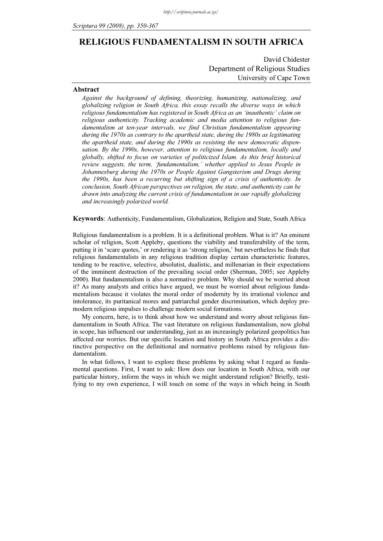# RELIGIOUS FUNDAMENTALISM IN SOUTH AFRICA

David Chidester Department of Religious Studies University of Cape Town

#### Abstract

Against the background of defining, theorizing, humanizing, nationalizing, and globalizing religion in South Africa, this essay recalls the diverse ways in which religious fundamentalism has registered in South Africa as an 'inauthentic' claim on religious authenticity. Tracking academic and media attention to religious fundamentalism at ten-year intervals, we find Christian fundamentalism appearing during the 1970s as contrary to the apartheid state, during the 1980s as legitimating the apartheid state, and during the 1990s as resisting the new democratic dispensation. By the 1990s, however, attention to religious fundamentalism, locally and globally, shifted to focus on varieties of politicized Islam. As this brief historical review suggests, the term, 'fundamentalism,' whether applied to Jesus People in Johannesburg during the 1970s or People Against Gangsterism and Drugs during the 1990s, has been a recurring but shifting sign of a crisis of authenticity. In conclusion, South African perspectives on religion, the state, and authenticity can be drawn into analyzing the current crisis of fundamentalism in our rapidly globalizing and increasingly polarized world.

Keywords: Authenticity, Fundamentalism, Globalization, Religion and State, South Africa

Religious fundamentalism is a problem. It is a definitional problem. What is it? An eminent scholar of religion, Scott Appleby, questions the viability and transferability of the term, putting it in 'scare quotes,' or rendering it as 'strong religion,' but nevertheless he finds that religious fundamentalists in any religious tradition display certain characteristic features, tending to be reactive, selective, absolutist, dualistic, and millenarian in their expectations of the imminent destruction of the prevailing social order (Sherman, 2005; see Appleby 2000). But fundamentalism is also a normative problem. Why should we be worried about it? As many analysts and critics have argued, we must be worried about religious fundamentalism because it violates the moral order of modernity by its irrational violence and intolerance, its puritanical mores and patriarchal gender discrimination, which deploy premodern religious impulses to challenge modern social formations.

My concern, here, is to think about how we understand and worry about religious fundamentalism in South Africa. The vast literature on religious fundamentalism, now global in scope, has influenced our understanding, just as an increasingly polarized geopolitics has affected our worries. But our specific location and history in South Africa provides a distinctive perspective on the definitional and normative problems raised by religious fundamentalism.

In what follows, I want to explore these problems by asking what I regard as fundamental questions. First, I want to ask: How does our location in South Africa, with our particular history, inform the ways in which we might understand religion? Briefly, testifying to my own experience, I will touch on some of the ways in which being in South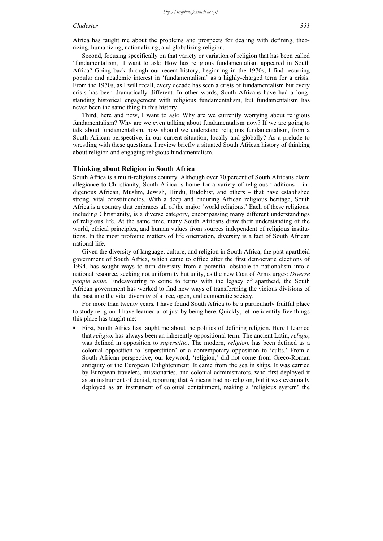Africa has taught me about the problems and prospects for dealing with defining, theorizing, humanizing, nationalizing, and globalizing religion.

Second, focusing specifically on that variety or variation of religion that has been called 'fundamentalism,' I want to ask: How has religious fundamentalism appeared in South Africa? Going back through our recent history, beginning in the 1970s, I find recurring popular and academic interest in 'fundamentalism' as a highly-charged term for a crisis. From the 1970s, as I will recall, every decade has seen a crisis of fundamentalism but every crisis has been dramatically different. In other words, South Africans have had a longstanding historical engagement with religious fundamentalism, but fundamentalism has never been the same thing in this history.

Third, here and now, I want to ask: Why are we currently worrying about religious fundamentalism? Why are we even talking about fundamentalism now? If we are going to talk about fundamentalism, how should we understand religious fundamentalism, from a South African perspective, in our current situation, locally and globally? As a prelude to wrestling with these questions, I review briefly a situated South African history of thinking about religion and engaging religious fundamentalism.

### Thinking about Religion in South Africa

South Africa is a multi-religious country. Although over 70 percent of South Africans claim allegiance to Christianity, South Africa is home for a variety of religious traditions – indigenous African, Muslim, Jewish, Hindu, Buddhist, and others – that have established strong, vital constituencies. With a deep and enduring African religious heritage, South Africa is a country that embraces all of the major 'world religions.' Each of these religions, including Christianity, is a diverse category, encompassing many different understandings of religious life. At the same time, many South Africans draw their understanding of the world, ethical principles, and human values from sources independent of religious institutions. In the most profound matters of life orientation, diversity is a fact of South African national life.

Given the diversity of language, culture, and religion in South Africa, the post-apartheid government of South Africa, which came to office after the first democratic elections of 1994, has sought ways to turn diversity from a potential obstacle to nationalism into a national resource, seeking not uniformity but unity, as the new Coat of Arms urges: Diverse people unite. Endeavouring to come to terms with the legacy of apartheid, the South African government has worked to find new ways of transforming the vicious divisions of the past into the vital diversity of a free, open, and democratic society.

For more than twenty years, I have found South Africa to be a particularly fruitful place to study religion. I have learned a lot just by being here. Quickly, let me identify five things this place has taught me:

 First, South Africa has taught me about the politics of defining religion. Here I learned that religion has always been an inherently oppositional term. The ancient Latin, religio, was defined in opposition to *superstitio*. The modern, *religion*, has been defined as a colonial opposition to 'superstition' or a contemporary opposition to 'cults.' From a South African perspective, our keyword, 'religion,' did not come from Greco-Roman antiquity or the European Enlightenment. It came from the sea in ships. It was carried by European travelers, missionaries, and colonial administrators, who first deployed it as an instrument of denial, reporting that Africans had no religion, but it was eventually deployed as an instrument of colonial containment, making a 'religious system' the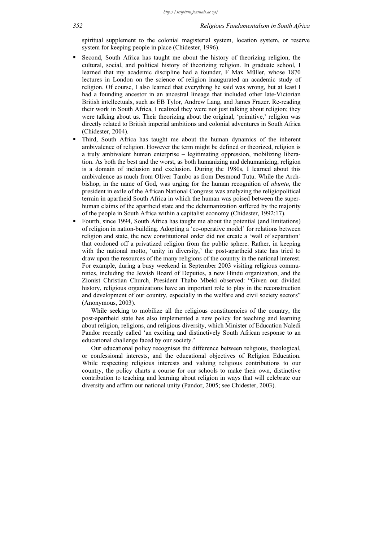spiritual supplement to the colonial magisterial system, location system, or reserve system for keeping people in place (Chidester, 1996).

- Second, South Africa has taught me about the history of theorizing religion, the cultural, social, and political history of theorizing religion. In graduate school, I learned that my academic discipline had a founder, F Max Müller, whose 1870 lectures in London on the science of religion inaugurated an academic study of religion. Of course, I also learned that everything he said was wrong, but at least I had a founding ancestor in an ancestral lineage that included other late-Victorian British intellectuals, such as EB Tylor, Andrew Lang, and James Frazer. Re-reading their work in South Africa, I realized they were not just talking about religion; they were talking about us. Their theorizing about the original, 'primitive,' religion was directly related to British imperial ambitions and colonial adventures in South Africa (Chidester, 2004).
- Third, South Africa has taught me about the human dynamics of the inherent ambivalence of religion. However the term might be defined or theorized, religion is a truly ambivalent human enterprise – legitimating oppression, mobilizing liberation. As both the best and the worst, as both humanizing and dehumanizing, religion is a domain of inclusion and exclusion. During the 1980s, I learned about this ambivalence as much from Oliver Tambo as from Desmond Tutu. While the Archbishop, in the name of God, was urging for the human recognition of ubuntu, the president in exile of the African National Congress was analyzing the religiopolitical terrain in apartheid South Africa in which the human was poised between the superhuman claims of the apartheid state and the dehumanization suffered by the majority of the people in South Africa within a capitalist economy (Chidester, 1992:17).
- Fourth, since 1994, South Africa has taught me about the potential (and limitations) of religion in nation-building. Adopting a 'co-operative model' for relations between religion and state, the new constitutional order did not create a 'wall of separation' that cordoned off a privatized religion from the public sphere. Rather, in keeping with the national motto, 'unity in diversity,' the post-apartheid state has tried to draw upon the resources of the many religions of the country in the national interest. For example, during a busy weekend in September 2003 visiting religious communities, including the Jewish Board of Deputies, a new Hindu organization, and the Zionist Christian Church, President Thabo Mbeki observed: "Given our divided history, religious organizations have an important role to play in the reconstruction and development of our country, especially in the welfare and civil society sectors" (Anonymous, 2003).

While seeking to mobilize all the religious constituencies of the country, the post-apartheid state has also implemented a new policy for teaching and learning about religion, religions, and religious diversity, which Minister of Education Naledi Pandor recently called 'an exciting and distinctively South African response to an educational challenge faced by our society.'

Our educational policy recognises the difference between religious, theological, or confessional interests, and the educational objectives of Religion Education. While respecting religious interests and valuing religious contributions to our country, the policy charts a course for our schools to make their own, distinctive contribution to teaching and learning about religion in ways that will celebrate our diversity and affirm our national unity (Pandor, 2005; see Chidester, 2003).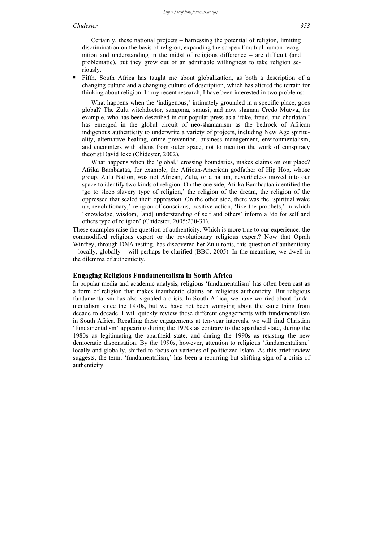Certainly, these national projects – harnessing the potential of religion, limiting discrimination on the basis of religion, expanding the scope of mutual human recognition and understanding in the midst of religious difference – are difficult (and problematic), but they grow out of an admirable willingness to take religion seriously.

 Fifth, South Africa has taught me about globalization, as both a description of a changing culture and a changing culture of description, which has altered the terrain for thinking about religion. In my recent research, I have been interested in two problems:

What happens when the 'indigenous,' intimately grounded in a specific place, goes global? The Zulu witchdoctor, sangoma, sanusi, and now shaman Credo Mutwa, for example, who has been described in our popular press as a 'fake, fraud, and charlatan,' has emerged in the global circuit of neo-shamanism as the bedrock of African indigenous authenticity to underwrite a variety of projects, including New Age spirituality, alternative healing, crime prevention, business management, environmentalism, and encounters with aliens from outer space, not to mention the work of conspiracy theorist David Icke (Chidester, 2002).

What happens when the 'global,' crossing boundaries, makes claims on our place? Afrika Bambaataa, for example, the African-American godfather of Hip Hop, whose group, Zulu Nation, was not African, Zulu, or a nation, nevertheless moved into our space to identify two kinds of religion: On the one side, Afrika Bambaataa identified the 'go to sleep slavery type of religion,' the religion of the dream, the religion of the oppressed that sealed their oppression. On the other side, there was the 'spiritual wake up, revolutionary,' religion of conscious, positive action, 'like the prophets,' in which 'knowledge, wisdom, [and] understanding of self and others' inform a 'do for self and others type of religion' (Chidester, 2005:230-31).

These examples raise the question of authenticity. Which is more true to our experience: the commodified religious export or the revolutionary religious expert? Now that Oprah Winfrey, through DNA testing, has discovered her Zulu roots, this question of authenticity – locally, globally – will perhaps be clarified (BBC, 2005). In the meantime, we dwell in the dilemma of authenticity.

## Engaging Religious Fundamentalism in South Africa

In popular media and academic analysis, religious 'fundamentalism' has often been cast as a form of religion that makes inauthentic claims on religious authenticity. But religious fundamentalism has also signaled a crisis. In South Africa, we have worried about fundamentalism since the 1970s, but we have not been worrying about the same thing from decade to decade. I will quickly review these different engagements with fundamentalism in South Africa. Recalling these engagements at ten-year intervals, we will find Christian 'fundamentalism' appearing during the 1970s as contrary to the apartheid state, during the 1980s as legitimating the apartheid state, and during the 1990s as resisting the new democratic dispensation. By the 1990s, however, attention to religious 'fundamentalism,' locally and globally, shifted to focus on varieties of politicized Islam. As this brief review suggests, the term, 'fundamentalism,' has been a recurring but shifting sign of a crisis of authenticity.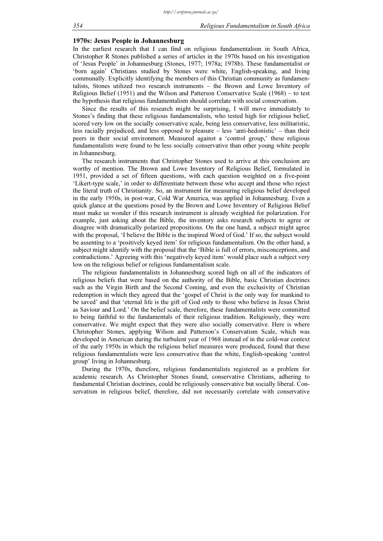### 1970s: Jesus People in Johannesburg

In the earliest research that I can find on religious fundamentalism in South Africa, Christopher R Stones published a series of articles in the 1970s based on his investigation of 'Jesus People' in Johannesburg (Stones, 1977; 1978a; 1978b). These fundamentalist or 'born again' Christians studied by Stones were white, English-speaking, and living communally. Explicitly identifying the members of this Christian community as fundamentalists, Stones utilized two research instruments – the Brown and Lowe Inventory of Religious Belief (1951) and the Wilson and Patterson Conservative Scale (1968) – to test the hypothesis that religious fundamentalism should correlate with social conservatism.

Since the results of this research might be surprising, I will move immediately to Stones's finding that these religious fundamentalists, who tested high for religious belief, scored very low on the socially conservative scale, being less conservative, less militaristic, less racially prejudiced, and less opposed to pleasure – less 'anti-hedonistic' – than their peers in their social environment. Measured against a 'control group,' these religious fundamentalists were found to be less socially conservative than other young white people in Johannesburg.

The research instruments that Christopher Stones used to arrive at this conclusion are worthy of mention. The Brown and Lowe Inventory of Religious Belief, formulated in 1951, provided a set of fifteen questions, with each question weighted on a five-point 'Likert-type scale,' in order to differentiate between those who accept and those who reject the literal truth of Christianity. So, an instrument for measuring religious belief developed in the early 1950s, in post-war, Cold War America, was applied in Johannesburg. Even a quick glance at the questions posed by the Brown and Lowe Inventory of Religious Belief must make us wonder if this research instrument is already weighted for polarization. For example, just asking about the Bible, the inventory asks research subjects to agree or disagree with dramatically polarized propositions. On the one hand, a subject might agree with the proposal, 'I believe the Bible is the inspired Word of God.' If so, the subject would be assenting to a 'positively keyed item' for religious fundamentalism. On the other hand, a subject might identify with the proposal that the 'Bible is full of errors, misconceptions, and contradictions.' Agreeing with this 'negatively keyed item' would place such a subject very low on the religious belief or religious fundamentalism scale.

The religious fundamentalists in Johannesburg scored high on all of the indicators of religious beliefs that were based on the authority of the Bible, basic Christian doctrines such as the Virgin Birth and the Second Coming, and even the exclusivity of Christian redemption in which they agreed that the 'gospel of Christ is the only way for mankind to be saved' and that 'eternal life is the gift of God only to those who believe in Jesus Christ as Saviour and Lord.' On the belief scale, therefore, these fundamentalists were committed to being faithful to the fundamentals of their religious tradition. Religiously, they were conservative. We might expect that they were also socially conservative. Here is where Christopher Stones, applying Wilson and Patterson's Conservatism Scale, which was developed in American during the turbulent year of 1968 instead of in the cold-war context of the early 1950s in which the religious belief measures were produced, found that these religious fundamentalists were less conservative than the white, English-speaking 'control group' living in Johannesburg.

During the 1970s, therefore, religious fundamentalists registered as a problem for academic research. As Christopher Stones found, conservative Christians, adhering to fundamental Christian doctrines, could be religiously conservative but socially liberal. Conservatism in religious belief, therefore, did not necessarily correlate with conservative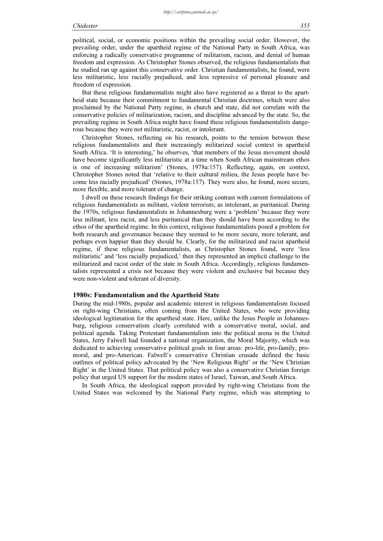political, social, or economic positions within the prevailing social order. However, the prevailing order, under the apartheid regime of the National Party in South Africa, was enforcing a radically conservative programme of militarism, racism, and denial of human freedom and expression. As Christopher Stones observed, the religious fundamentalists that he studied ran up against this conservative order. Christian fundamentalists, he found, were less militaristic, less racially prejudiced, and less repressive of personal pleasure and freedom of expression.

But these religious fundamentalists might also have registered as a threat to the apartheid state because their commitment to fundamental Christian doctrines, which were also proclaimed by the National Party regime, in church and state, did not correlate with the conservative policies of militarization, racism, and discipline advanced by the state. So, the prevailing regime in South Africa might have found these religious fundamentalists dangerous because they were not militaristic, racist, or intolerant.

Christopher Stones, reflecting on his research, points to the tension between these religious fundamentalists and their increasingly militarized social context in apartheid South Africa. 'It is interesting,' he observes, 'that members of the Jesus movement should have become significantly less militaristic at a time when South African mainstream ethos is one of increasing militarism' (Stones, 1978a:157). Reflecting, again, on context, Christopher Stones noted that 'relative to their cultural milieu, the Jesus people have become less racially prejudiced' (Stones, 1978a:157). They were also, he found, more secure, more flexible, and more tolerant of change.

I dwell on these research findings for their striking contrast with current formulations of religious fundamentalists as militant, violent terrorists; as intolerant, as puritanical. During the 1970s, religious fundamentalists in Johannesburg were a 'problem' because they were less militant, less racist, and less puritanical than they should have been according to the ethos of the apartheid regime. In this context, religious fundamentalists posed a problem for both research and governance because they seemed to be more secure, more tolerant, and perhaps even happier than they should be. Clearly, for the militarized and racist apartheid regime, if these religious fundamentalists, as Christopher Stones found, were 'less militaristic' and 'less racially prejudiced,' then they represented an implicit challenge to the militarized and racist order of the state in South Africa. Accordingly, religious fundamentalists represented a crisis not because they were violent and exclusive but because they were non-violent and tolerant of diversity.

#### 1980s: Fundamentalism and the Apartheid State

During the mid-1980s, popular and academic interest in religious fundamentalism focused on right-wing Christians, often coming from the United States, who were providing ideological legitimation for the apartheid state. Here, unlike the Jesus People in Johannesburg, religious conservatism clearly correlated with a conservative moral, social, and political agenda. Taking Protestant fundamentalism into the political arena in the United States, Jerry Falwell had founded a national organization, the Moral Majority, which was dedicated to achieving conservative political goals in four areas: pro-life, pro-family, promoral, and pro-American. Falwell's conservative Christian crusade defined the basic outlines of political policy advocated by the 'New Religious Right' or the 'New Christian Right' in the United States. That political policy was also a conservative Christian foreign policy that urged US support for the modern states of Israel, Taiwan, and South Africa.

In South Africa, the ideological support provided by right-wing Christians from the United States was welcomed by the National Party regime, which was attempting to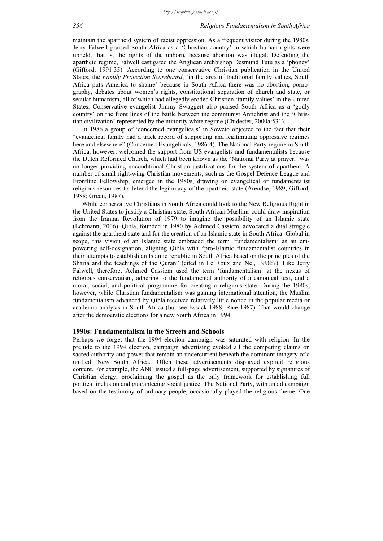maintain the apartheid system of racist oppression. As a frequent visitor during the 1980s, Jerry Falwell praised South Africa as a 'Christian country' in which human rights were upheld, that is, the rights of the unborn, because abortion was illegal. Defending the apartheid regime, Falwell castigated the Anglican archbishop Desmund Tutu as a 'phoney' (Gifford, 1991:35). According to one conservative Christian publication in the United States, the Family Protection Scoreboard, 'in the area of traditional family values, South Africa puts America to shame' because in South Africa there was no abortion, pornography, debates about women's rights, constitutional separation of church and state, or secular humanism, all of which had allegedly eroded Christian 'family values' in the United States. Conservative evangelist Jimmy Swaggert also praised South Africa as a 'godly country' on the front lines of the battle between the communist Antichrist and the 'Christian civilization' represented by the minority white regime (Chidester, 2000a:531).

In 1986 a group of 'concerned evangelicals' in Soweto objected to the fact that their "evangelical family had a track record of supporting and legitimating oppressive regimes here and elsewhere" (Concerned Evangelicals, 1986:4). The National Party regime in South Africa, however, welcomed the support from US evangelists and fundamentalists because the Dutch Reformed Church, which had been known as the 'National Party at prayer,' was no longer providing unconditional Christian justifications for the system of apartheid. A number of small right-wing Christian movements, such as the Gospel Defence League and Frontline Fellowship, emerged in the 1980s, drawing on evangelical or fundamentalist religious resources to defend the legitimacy of the apartheid state (Arendse, 1989; Gifford, 1988; Green, 1987).

While conservative Christians in South Africa could look to the New Religious Right in the United States to justify a Christian state, South African Muslims could draw inspiration from the Iranian Revolution of 1979 to imagine the possibility of an Islamic state (Lehmann, 2006). Qibla, founded in 1980 by Achmed Cassiem, advocated a dual struggle against the apartheid state and for the creation of an Islamic state in South Africa. Global in scope, this vision of an Islamic state embraced the term 'fundamentalism' as an empowering self-designation, aligning Qibla with "pro-Islamic fundamentalist countries in their attempts to establish an Islamic republic in South Africa based on the principles of the Sharia and the teachings of the Quran" (cited in Le Roux and Nel, 1998:7). Like Jerry Falwell, therefore, Achmed Cassiem used the term 'fundamentalism' at the nexus of religious conservatism, adhering to the fundamental authority of a canonical text, and a moral, social, and political programme for creating a religious state. During the 1980s, however, while Christian fundamentalism was gaining international attention, the Muslim fundamentalism advanced by Qibla received relatively little notice in the popular media or academic analysis in South Africa (but see Essack 1988; Rice 1987). That would change after the democratic elections for a new South Africa in 1994.

#### 1990s: Fundamentalism in the Streets and Schools

Perhaps we forget that the 1994 election campaign was saturated with religion. In the prelude to the 1994 election, campaign advertising evoked all the competing claims on sacred authority and power that remain an undercurrent beneath the dominant imagery of a unified 'New South Africa.' Often these advertisements displayed explicit religious content. For example, the ANC issued a full-page advertisement, supported by signatures of Christian clergy, proclaiming the gospel as the only framework for establishing full political inclusion and guaranteeing social justice. The National Party, with an ad campaign based on the testimony of ordinary people, occasionally played the religious theme. One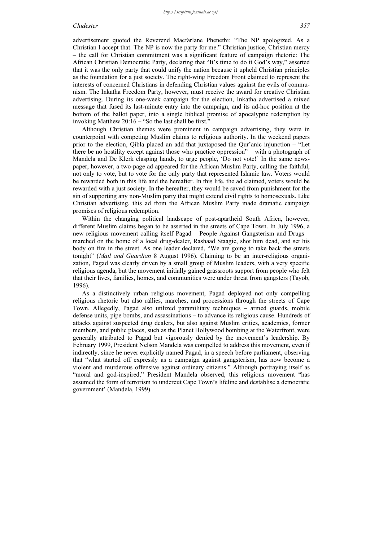advertisement quoted the Reverend Macfarlane Phenethi: "The NP apologized. As a Christian I accept that. The NP is now the party for me." Christian justice, Christian mercy – the call for Christian commitment was a significant feature of campaign rhetoric: The African Christian Democratic Party, declaring that "It's time to do it God's way," asserted that it was the only party that could unify the nation because it upheld Christian principles as the foundation for a just society. The right-wing Freedom Front claimed to represent the interests of concerned Christians in defending Christian values against the evils of communism. The Inkatha Freedom Party, however, must receive the award for creative Christian advertising. During its one-week campaign for the election, Inkatha advertised a mixed message that fused its last-minute entry into the campaign, and its ad-hoc position at the bottom of the ballot paper, into a single biblical promise of apocalyptic redemption by invoking Matthew 20:16 – "So the last shall be first."

Although Christian themes were prominent in campaign advertising, they were in counterpoint with competing Muslim claims to religious authority. In the weekend papers prior to the election, Qibla placed an add that juxtaposed the Qur'anic injunction – "Let there be no hostility except against those who practice oppression" – with a photograph of Mandela and De Klerk clasping hands, to urge people, 'Do not vote!' In the same newspaper, however, a two-page ad appeared for the African Muslim Party, calling the faithful, not only to vote, but to vote for the only party that represented Islamic law. Voters would be rewarded both in this life and the hereafter. In this life, the ad claimed, voters would be rewarded with a just society. In the hereafter, they would be saved from punishment for the sin of supporting any non-Muslim party that might extend civil rights to homosexuals. Like Christian advertising, this ad from the African Muslim Party made dramatic campaign promises of religious redemption.

Within the changing political landscape of post-apartheid South Africa, however, different Muslim claims began to be asserted in the streets of Cape Town. In July 1996, a new religious movement calling itself Pagad – People Against Gangsterism and Drugs – marched on the home of a local drug-dealer, Rashaad Staagie, shot him dead, and set his body on fire in the street. As one leader declared, "We are going to take back the streets tonight" (Mail and Guardian 8 August 1996). Claiming to be an inter-religious organization, Pagad was clearly driven by a small group of Muslim leaders, with a very specific religious agenda, but the movement initially gained grassroots support from people who felt that their lives, families, homes, and communities were under threat from gangsters (Tayob, 1996).

As a distinctively urban religious movement, Pagad deployed not only compelling religious rhetoric but also rallies, marches, and processions through the streets of Cape Town. Allegedly, Pagad also utilized paramilitary techniques – armed guards, mobile defense units, pipe bombs, and assassinations – to advance its religious cause. Hundreds of attacks against suspected drug dealers, but also against Muslim critics, academics, former members, and public places, such as the Planet Hollywood bombing at the Waterfront, were generally attributed to Pagad but vigorously denied by the movement's leadership. By February 1999, President Nelson Mandela was compelled to address this movement, even if indirectly, since he never explicitly named Pagad, in a speech before parliament, observing that "what started off expressly as a campaign against gangsterism, has now become a violent and murderous offensive against ordinary citizens." Although portraying itself as "moral and god-inspired," President Mandela observed, this religious movement "has assumed the form of terrorism to undercut Cape Town's lifeline and destablise a democratic government' (Mandela, 1999).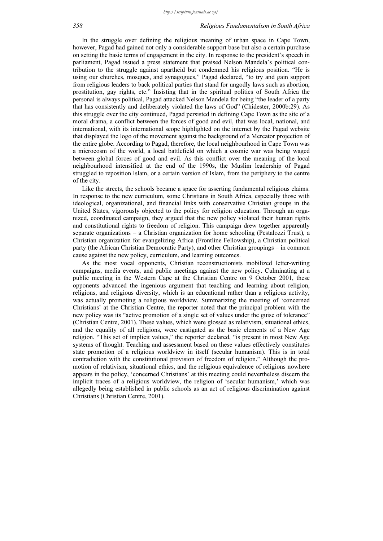In the struggle over defining the religious meaning of urban space in Cape Town, however, Pagad had gained not only a considerable support base but also a certain purchase on setting the basic terms of engagement in the city. In response to the president's speech in parliament, Pagad issued a press statement that praised Nelson Mandela's political contribution to the struggle against apartheid but condemned his religious position. "He is using our churches, mosques, and synagogues," Pagad declared, "to try and gain support from religious leaders to back political parties that stand for ungodly laws such as abortion, prostitution, gay rights, etc." Insisting that in the spiritual politics of South Africa the personal is always political, Pagad attacked Nelson Mandela for being "the leader of a party that has consistently and deliberately violated the laws of God" (Chidester, 2000b:29). As this struggle over the city continued, Pagad persisted in defining Cape Town as the site of a moral drama, a conflict between the forces of good and evil, that was local, national, and international, with its international scope highlighted on the internet by the Pagad website that displayed the logo of the movement against the background of a Mercator projection of the entire globe. According to Pagad, therefore, the local neighbourhood in Cape Town was a microcosm of the world, a local battlefield on which a cosmic war was being waged between global forces of good and evil. As this conflict over the meaning of the local neighbourhood intensified at the end of the 1990s, the Muslim leadership of Pagad struggled to reposition Islam, or a certain version of Islam, from the periphery to the centre of the city.

Like the streets, the schools became a space for asserting fundamental religious claims. In response to the new curriculum, some Christians in South Africa, especially those with ideological, organizational, and financial links with conservative Christian groups in the United States, vigorously objected to the policy for religion education. Through an organized, coordinated campaign, they argued that the new policy violated their human rights and constitutional rights to freedom of religion. This campaign drew together apparently separate organizations – a Christian organization for home schooling (Pestalozzi Trust), a Christian organization for evangelizing Africa (Frontline Fellowship), a Christian political party (the African Christian Democratic Party), and other Christian groupings – in common cause against the new policy, curriculum, and learning outcomes.

As the most vocal opponents, Christian reconstructionists mobilized letter-writing campaigns, media events, and public meetings against the new policy. Culminating at a public meeting in the Western Cape at the Christian Centre on 9 October 2001, these opponents advanced the ingenious argument that teaching and learning about religion, religions, and religious diversity, which is an educational rather than a religious activity, was actually promoting a religious worldview. Summarizing the meeting of 'concerned Christians' at the Christian Centre, the reporter noted that the principal problem with the new policy was its "active promotion of a single set of values under the guise of tolerance" (Christian Centre, 2001). These values, which were glossed as relativism, situational ethics, and the equality of all religions, were castigated as the basic elements of a New Age religion. "This set of implicit values," the reporter declared, "is present in most New Age systems of thought. Teaching and assessment based on these values effectively constitutes state promotion of a religious worldview in itself (secular humanism). This is in total contradiction with the constitutional provision of freedom of religion." Although the promotion of relativism, situational ethics, and the religious equivalence of religions nowhere appears in the policy, 'concerned Christians' at this meeting could nevertheless discern the implicit traces of a religious worldview, the religion of 'secular humanism,' which was allegedly being established in public schools as an act of religious discrimination against Christians (Christian Centre, 2001).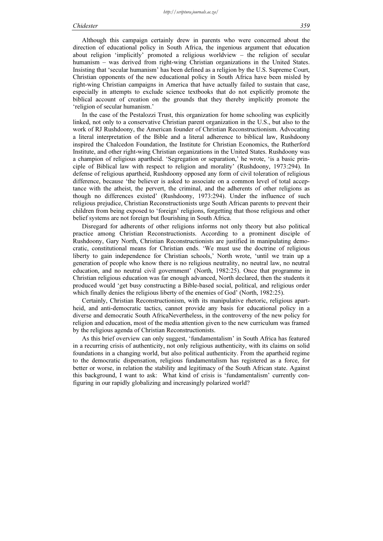Although this campaign certainly drew in parents who were concerned about the direction of educational policy in South Africa, the ingenious argument that education about religion 'implicitly' promoted a religious worldview – the religion of secular humanism – was derived from right-wing Christian organizations in the United States. Insisting that 'secular humanism' has been defined as a religion by the U.S. Supreme Court, Christian opponents of the new educational policy in South Africa have been misled by right-wing Christian campaigns in America that have actually failed to sustain that case, especially in attempts to exclude science textbooks that do not explicitly promote the biblical account of creation on the grounds that they thereby implicitly promote the 'religion of secular humanism.'

In the case of the Pestalozzi Trust, this organization for home schooling was explicitly linked, not only to a conservative Christian parent organization in the U.S., but also to the work of RJ Rushdoony, the American founder of Christian Reconstructionism. Advocating a literal interpretation of the Bible and a literal adherence to biblical law, Rushdoony inspired the Chalcedon Foundation, the Institute for Christian Economics, the Rutherford Institute, and other right-wing Christian organizations in the United States. Rushdoony was a champion of religious apartheid. 'Segregation or separation,' he wrote, 'is a basic principle of Biblical law with respect to religion and morality' (Rushdoony, 1973:294). In defense of religious apartheid, Rushdoony opposed any form of civil toleration of religious difference, because 'the believer is asked to associate on a common level of total acceptance with the atheist, the pervert, the criminal, and the adherents of other religions as though no differences existed' (Rushdoony, 1973:294). Under the influence of such religious prejudice, Christian Reconstructionists urge South African parents to prevent their children from being exposed to 'foreign' religions, forgetting that those religious and other belief systems are not foreign but flourishing in South Africa.

Disregard for adherents of other religions informs not only theory but also political practice among Christian Reconstructionists. According to a prominent disciple of Rushdoony, Gary North, Christian Reconstructionists are justified in manipulating democratic, constitutional means for Christian ends. 'We must use the doctrine of religious liberty to gain independence for Christian schools,' North wrote, 'until we train up a generation of people who know there is no religious neutrality, no neutral law, no neutral education, and no neutral civil government' (North, 1982:25). Once that programme in Christian religious education was far enough advanced, North declared, then the students it produced would 'get busy constructing a Bible-based social, political, and religious order which finally denies the religious liberty of the enemies of God' (North, 1982:25).

Certainly, Christian Reconstructionism, with its manipulative rhetoric, religious apartheid, and anti-democratic tactics, cannot provide any basis for educational policy in a diverse and democratic South AfricaNevertheless, in the controversy of the new policy for religion and education, most of the media attention given to the new curriculum was framed by the religious agenda of Christian Reconstructionists.

As this brief overview can only suggest, 'fundamentalism' in South Africa has featured in a recurring crisis of authenticity, not only religious authenticity, with its claims on solid foundations in a changing world, but also political authenticity. From the apartheid regime to the democratic dispensation, religious fundamentalism has registered as a force, for better or worse, in relation the stability and legitimacy of the South African state. Against this background, I want to ask: What kind of crisis is 'fundamentalism' currently configuring in our rapidly globalizing and increasingly polarized world?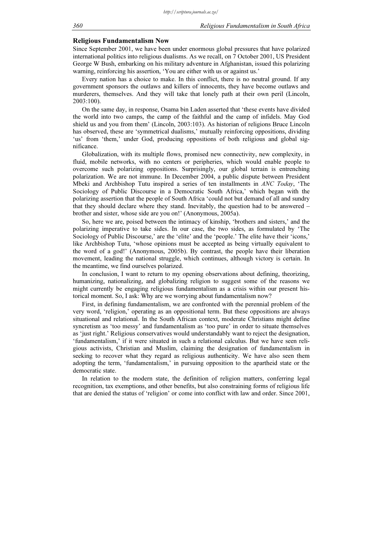## Religious Fundamentalism Now

Since September 2001, we have been under enormous global pressures that have polarized international politics into religious dualisms. As we recall, on 7 October 2001, US President George W Bush, embarking on his military adventure in Afghanistan, issued this polarizing warning, reinforcing his assertion, 'You are either with us or against us.'

Every nation has a choice to make. In this conflict, there is no neutral ground. If any government sponsors the outlaws and killers of innocents, they have become outlaws and murderers, themselves. And they will take that lonely path at their own peril (Lincoln, 2003:100).

On the same day, in response, Osama bin Laden asserted that 'these events have divided the world into two camps, the camp of the faithful and the camp of infidels. May God shield us and you from them' (Lincoln, 2003:103). As historian of religions Bruce Lincoln has observed, these are 'symmetrical dualisms,' mutually reinforcing oppositions, dividing 'us' from 'them,' under God, producing oppositions of both religious and global significance.

Globalization, with its multiple flows, promised new connectivity, new complexity, in fluid, mobile networks, with no centers or peripheries, which would enable people to overcome such polarizing oppositions. Surprisingly, our global terrain is entrenching polarization. We are not immune. In December 2004, a public dispute between President Mbeki and Archbishop Tutu inspired a series of ten installments in ANC Today, 'The Sociology of Public Discourse in a Democratic South Africa,' which began with the polarizing assertion that the people of South Africa 'could not but demand of all and sundry that they should declare where they stand. Inevitably, the question had to be answered – brother and sister, whose side are you on!' (Anonymous, 2005a).

So, here we are, poised between the intimacy of kinship, 'brothers and sisters,' and the polarizing imperative to take sides. In our case, the two sides, as formulated by 'The Sociology of Public Discourse,' are the 'elite' and the 'people.' The elite have their 'icons,' like Archbishop Tutu, 'whose opinions must be accepted as being virtually equivalent to the word of a god!' (Anonymous, 2005b). By contrast, the people have their liberation movement, leading the national struggle, which continues, although victory is certain. In the meantime, we find ourselves polarized.

In conclusion, I want to return to my opening observations about defining, theorizing, humanizing, nationalizing, and globalizing religion to suggest some of the reasons we might currently be engaging religious fundamentalism as a crisis within our present historical moment. So, I ask: Why are we worrying about fundamentalism now?

First, in defining fundamentalism, we are confronted with the perennial problem of the very word, 'religion,' operating as an oppositional term. But these oppositions are always situational and relational. In the South African context, moderate Christians might define syncretism as 'too messy' and fundamentalism as 'too pure' in order to situate themselves as 'just right.' Religious conservatives would understandably want to reject the designation, 'fundamentalism,' if it were situated in such a relational calculus. But we have seen religious activists, Christian and Muslim, claiming the designation of fundamentalism in seeking to recover what they regard as religious authenticity. We have also seen them adopting the term, 'fundamentalism,' in pursuing opposition to the apartheid state or the democratic state.

In relation to the modern state, the definition of religion matters, conferring legal recognition, tax exemptions, and other benefits, but also constraining forms of religious life that are denied the status of 'religion' or come into conflict with law and order. Since 2001,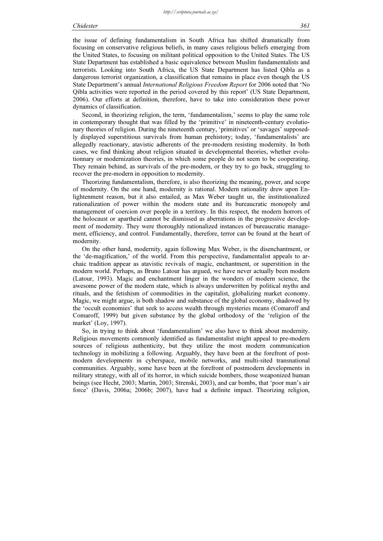the issue of defining fundamentalism in South Africa has shifted dramatically from focusing on conservative religious beliefs, in many cases religious beliefs emerging from the United States, to focusing on militant political opposition to the United States. The US State Department has established a basic equivalence between Muslim fundamentalists and terrorists. Looking into South Africa, the US State Department has listed Qibla as a dangerous terrorist organization, a classification that remains in place even though the US State Department's annual International Religious Freedom Report for 2006 noted that 'No Qibla activities were reported in the period covered by this report' (US State Department, 2006). Our efforts at definition, therefore, have to take into consideration these power dynamics of classification.

Second, in theorizing religion, the term, 'fundamentalism,' seems to play the same role in contemporary thought that was filled by the 'primitive' in nineteenth-century evolutionary theories of religion. During the nineteenth century, 'primitives' or 'savages' supposedly displayed superstitious survivals from human prehistory; today, 'fundamentalists' are allegedly reactionary, atavistic adherents of the pre-modern resisting modernity. In both cases, we find thinking about religion situated in developmental theories, whether evolutionnary or modernization theories, in which some people do not seem to be cooperating. They remain behind, as survivals of the pre-modern, or they try to go back, struggling to recover the pre-modern in opposition to modernity.

Theorizing fundamentalism, therefore, is also theorizing the meaning, power, and scope of modernity. On the one hand, modernity is rational. Modern rationality drew upon Enlightenment reason, but it also entailed, as Max Weber taught us, the institutionalized rationalization of power within the modern state and its bureaucratic monopoly and management of coercion over people in a territory. In this respect, the modern horrors of the holocaust or apartheid cannot be dismissed as aberrations in the progressive development of modernity. They were thoroughly rationalized instances of bureaucratic management, efficiency, and control. Fundamentally, therefore, terror can be found at the heart of modernity.

On the other hand, modernity, again following Max Weber, is the disenchantment, or the 'de-magification,' of the world. From this perspective, fundamentalist appeals to archaic tradition appear as atavistic revivals of magic, enchantment, or superstition in the modern world. Perhaps, as Bruno Latour has argued, we have never actually been modern (Latour, 1993). Magic and enchantment linger in the wonders of modern science, the awesome power of the modern state, which is always underwritten by political myths and rituals, and the fetishism of commodities in the capitalist, globalizing market economy. Magic, we might argue, is both shadow and substance of the global economy, shadowed by the 'occult economies' that seek to access wealth through mysteries means (Comaroff and Comaroff, 1999) but given substance by the global orthodoxy of the 'religion of the market' (Loy, 1997).

So, in trying to think about 'fundamentalism' we also have to think about modernity. Religious movements commonly identified as fundamentalist might appeal to pre-modern sources of religious authenticity, but they utilize the most modern communication technology in mobilizing a following. Arguably, they have been at the forefront of postmodern developments in cyberspace, mobile networks, and multi-sited transnational communities. Arguably, some have been at the forefront of postmodern developments in military strategy, with all of its horror, in which suicide bombers, those weaponized human beings (see Hecht, 2003; Martin, 2003; Strenski, 2003), and car bombs, that 'poor man's air force' (Davis, 2006a; 2006b; 2007), have had a definite impact. Theorizing religion,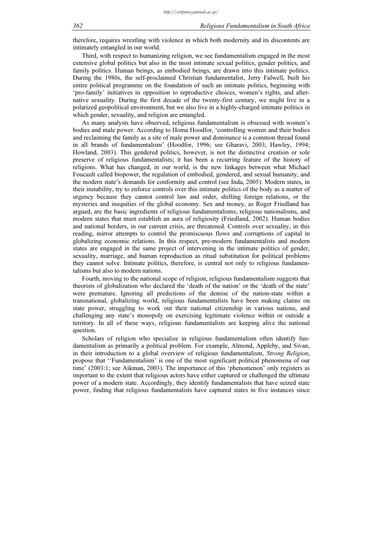therefore, requires wrestling with violence in which both modernity and its discontents are intimately entangled in our world.

Third, with respect to humanizing religion, we see fundamentalism engaged in the most extensive global politics but also in the most intimate sexual politics, gender politics, and family politics. Human beings, as embodied beings, are drawn into this intimate politics. During the 1980s, the self-proclaimed Christian fundamentalist, Jerry Falwell, built his entire political programme on the foundation of such an intimate politics, beginning with 'pro-family' initiatives in opposition to reproductive choices, women's rights, and alternative sexuality. During the first decade of the twenty-first century, we might live in a polarized geopolitical environment, but we also live in a highly-charged intimate politics in which gender, sexuality, and religion are entangled.

As many analysts have observed, religious fundamentalism is obsessed with women's bodies and male power. According to Homa Hoodfor, 'controlling women and their bodies and reclaiming the family as a site of male power and dominance is a common thread found in all brands of fundamentalism' (Hoodfor, 1996; see Gharavi, 2003; Hawley, 1994; Howland, 2003). This gendered politics, however, is not the distinctive creation or sole preserve of religious fundamentalists; it has been a recurring feature of the history of religions. What has changed, in our world, is the new linkages between what Michael Foucault called biopower, the regulation of embodied, gendered, and sexual humanity, and the modern state's demands for conformity and control (see Inda, 2005). Modern states, in their instability, try to enforce controls over this intimate politics of the body as a matter of urgency because they cannot control law and order, shifting foreign relations, or the mysteries and inequities of the global economy. Sex and money, as Roger Friedland has argued, are the basic ingredients of religious fundamentalisms, religious nationalisms, and modern states that must establish an aura of religiosity (Friedland, 2002). Human bodies and national borders, in our current crisis, are threatened. Controls over sexuality, in this reading, mirror attempts to control the promiscuous flows and corruptions of capital in globalizing economic relations. In this respect, pre-modern fundamentalists and modern states are engaged in the same project of intervening in the intimate politics of gender, sexuality, marriage, and human reproduction as ritual substitution for political problems they cannot solve. Intimate politics, therefore, is central not only to religious fundamentalisms but also to modern nations.

Fourth, moving to the national scope of religion, religious fundamentalism suggests that theorists of globalization who declared the 'death of the nation' or the 'death of the state' were premature. Ignoring all predictions of the demise of the nation-state within a transnational, globalizing world, religious fundamentalists have been making claims on state power, struggling to work out their national citizenship in various nations, and challenging any state's monopoly on exercising legitimate violence within or outside a territory. In all of these ways, religious fundamentalists are keeping alive the national question.

Scholars of religion who specialize in religious fundamentalism often identify fundamentalism as primarily a political problem. For example, Almond, Appleby, and Sivan, in their introduction to a global overview of religious fundamentalism, Strong Religion, propose that ''Fundamentalism' is one of the most significant political phenomena of our time' (2003:1; see Aikman, 2003). The importance of this 'phenomenon' only registers as important to the extent that religious actors have either captured or challenged the ultimate power of a modern state. Accordingly, they identify fundamentalists that have seized state power, finding that religious fundamentalists have captured states in five instances since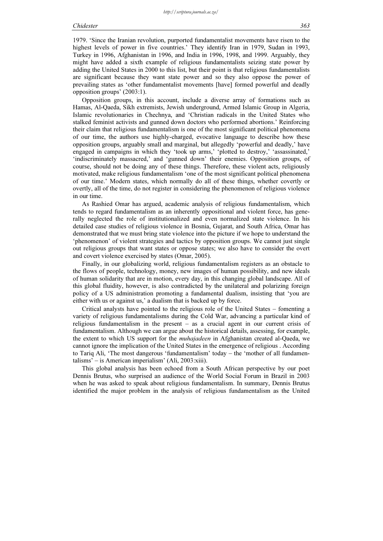1979. 'Since the Iranian revolution, purported fundamentalist movements have risen to the highest levels of power in five countries.' They identify Iran in 1979, Sudan in 1993, Turkey in 1996, Afghanistan in 1996, and India in 1996, 1998, and 1999. Arguably, they might have added a sixth example of religious fundamentalists seizing state power by adding the United States in 2000 to this list, but their point is that religious fundamentalists are significant because they want state power and so they also oppose the power of prevailing states as 'other fundamentalist movements [have] formed powerful and deadly opposition groups' (2003:1).

Opposition groups, in this account, include a diverse array of formations such as Hamas, Al-Qaeda, Sikh extremists, Jewish underground, Armed Islamic Group in Algeria, Islamic revolutionaries in Chechnya, and 'Christian radicals in the United States who stalked feminist activists and gunned down doctors who performed abortions.' Reinforcing their claim that religious fundamentalism is one of the most significant political phenomena of our time, the authors use highly-charged, evocative language to describe how these opposition groups, arguably small and marginal, but allegedly 'powerful and deadly,' have engaged in campaigns in which they 'took up arms,' 'plotted to destroy,' 'assassinated,' 'indiscriminately massacred,' and 'gunned down' their enemies. Opposition groups, of course, should not be doing any of these things. Therefore, these violent acts, religiously motivated, make religious fundamentalism 'one of the most significant political phenomena of our time.' Modern states, which normally do all of these things, whether covertly or overtly, all of the time, do not register in considering the phenomenon of religious violence in our time.

As Rashied Omar has argued, academic analysis of religious fundamentalism, which tends to regard fundamentalism as an inherently oppositional and violent force, has generally neglected the role of institutionalized and even normalized state violence. In his detailed case studies of religious violence in Bosnia, Gujarat, and South Africa, Omar has demonstrated that we must bring state violence into the picture if we hope to understand the 'phenomenon' of violent strategies and tactics by opposition groups. We cannot just single out religious groups that want states or oppose states; we also have to consider the overt and covert violence exercised by states (Omar, 2005).

Finally, in our globalizing world, religious fundamentalism registers as an obstacle to the flows of people, technology, money, new images of human possibility, and new ideals of human solidarity that are in motion, every day, in this changing global landscape. All of this global fluidity, however, is also contradicted by the unilateral and polarizing foreign policy of a US administration promoting a fundamental dualism, insisting that 'you are either with us or against us,' a dualism that is backed up by force.

Critical analysts have pointed to the religious role of the United States – fomenting a variety of religious fundamentalisms during the Cold War, advancing a particular kind of religious fundamentalism in the present – as a crucial agent in our current crisis of fundamentalism. Although we can argue about the historical details, assessing, for example, the extent to which US support for the muhajadeen in Afghanistan created al-Qaeda, we cannot ignore the implication of the United States in the emergence of religious . According to Tariq Ali, 'The most dangerous 'fundamentalism' today – the 'mother of all fundamentalisms' – is American imperialism' (Ali, 2003:xiii).

This global analysis has been echoed from a South African perspective by our poet Dennis Brutus, who surprised an audience of the World Social Forum in Brazil in 2003 when he was asked to speak about religious fundamentalism. In summary, Dennis Brutus identified the major problem in the analysis of religious fundamentalism as the United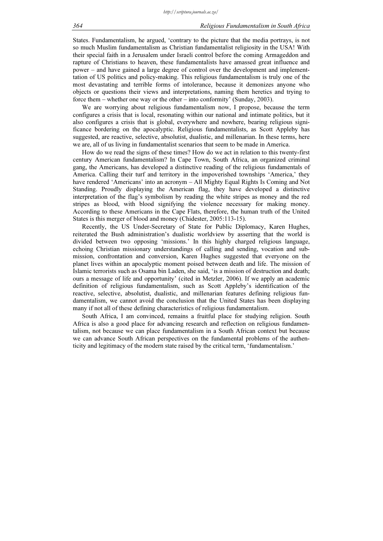States. Fundamentalism, he argued, 'contrary to the picture that the media portrays, is not so much Muslim fundamentalism as Christian fundamentalist religiosity in the USA! With their special faith in a Jerusalem under Israeli control before the coming Armageddon and rapture of Christians to heaven, these fundamentalists have amassed great influence and power – and have gained a large degree of control over the development and implementtation of US politics and policy-making. This religious fundamentalism is truly one of the most devastating and terrible forms of intolerance, because it demonizes anyone who objects or questions their views and interpretations, naming them heretics and trying to force them – whether one way or the other – into conformity' (Sunday, 2003).

We are worrying about religious fundamentalism now, I propose, because the term configures a crisis that is local, resonating within our national and intimate politics, but it also configures a crisis that is global, everywhere and nowhere, bearing religious significance bordering on the apocalyptic. Religious fundamentalists, as Scott Appleby has suggested, are reactive, selective, absolutist, dualistic, and millenarian. In these terms, here we are, all of us living in fundamentalist scenarios that seem to be made in America.

How do we read the signs of these times? How do we act in relation to this twenty-first century American fundamentalism? In Cape Town, South Africa, an organized criminal gang, the Americans, has developed a distinctive reading of the religious fundamentals of America. Calling their turf and territory in the impoverished townships 'America,' they have rendered 'Americans' into an acronym – All Mighty Equal Rights Is Coming and Not Standing. Proudly displaying the American flag, they have developed a distinctive interpretation of the flag's symbolism by reading the white stripes as money and the red stripes as blood, with blood signifying the violence necessary for making money. According to these Americans in the Cape Flats, therefore, the human truth of the United States is this merger of blood and money (Chidester, 2005:113-15).

Recently, the US Under-Secretary of State for Public Diplomacy, Karen Hughes, reiterated the Bush administration's dualistic worldview by asserting that the world is divided between two opposing 'missions.' In this highly charged religious language, echoing Christian missionary understandings of calling and sending, vocation and submission, confrontation and conversion, Karen Hughes suggested that everyone on the planet lives within an apocalyptic moment poised between death and life. The mission of Islamic terrorists such as Osama bin Laden, she said, 'is a mission of destruction and death; ours a message of life and opportunity' (cited in Metzler, 2006). If we apply an academic definition of religious fundamentalism, such as Scott Appleby's identification of the reactive, selective, absolutist, dualistic, and millenarian features defining religious fundamentalism, we cannot avoid the conclusion that the United States has been displaying many if not all of these defining characteristics of religious fundamentalism.

South Africa, I am convinced, remains a fruitful place for studying religion. South Africa is also a good place for advancing research and reflection on religious fundamentalism, not because we can place fundamentalism in a South African context but because we can advance South African perspectives on the fundamental problems of the authenticity and legitimacy of the modern state raised by the critical term, 'fundamentalism.'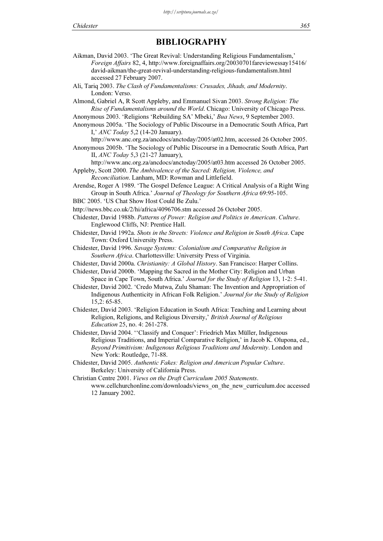# BIBLIOGRAPHY

- Aikman, David 2003. 'The Great Revival: Understanding Religious Fundamentalism,' Foreign Affairs 82, 4, http://www.foreignaffairs.org/20030701fareviewessay15416/ david-aikman/the-great-revival-understanding-religious-fundamentalism.html accessed 27 February 2007.
- Ali, Tariq 2003. The Clash of Fundamentalisms: Crusades, Jihads, and Modernity. London: Verso.

Almond, Gabriel A, R Scott Appleby, and Emmanuel Sivan 2003. Strong Religion: The Rise of Fundamentalisms around the World. Chicago: University of Chicago Press.

Anonymous 2003. 'Religions 'Rebuilding SA' Mbeki,' Bua News, 9 September 2003.

Anonymous 2005a. 'The Sociology of Public Discourse in a Democratic South Africa, Part I,' ANC Today 5,2 (14-20 January).

http://www.anc.org.za/ancdocs/anctoday/2005/at02.htm, accessed 26 October 2005.

Anonymous 2005b. 'The Sociology of Public Discourse in a Democratic South Africa, Part II, ANC Today 5,3 (21-27 January),

http://www.anc.org.za/ancdocs/anctoday/2005/at03.htm accessed 26 October 2005.

- Appleby, Scott 2000. The Ambivalence of the Sacred: Religion, Violence, and Reconciliation. Lanham, MD: Rowman and Littlefield.
- Arendse, Roger A 1989. 'The Gospel Defence League: A Critical Analysis of a Right Wing Group in South Africa.' Journal of Theology for Southern Africa 69:95-105.
- BBC 2005. 'US Chat Show Host Could Be Zulu.'
- http://news.bbc.co.uk/2/hi/africa/4096706.stm accessed 26 October 2005.
- Chidester, David 1988b. Patterns of Power: Religion and Politics in American. Culture. Englewood Cliffs, NJ: Prentice Hall.
- Chidester, David 1992a. Shots in the Streets: Violence and Religion in South Africa. Cape Town: Oxford University Press.
- Chidester, David 1996. Savage Systems: Colonialism and Comparative Religion in Southern Africa. Charlottesville: University Press of Virginia.
- Chidester, David 2000a. Christianity: A Global History. San Francisco: Harper Collins.
- Chidester, David 2000b. 'Mapping the Sacred in the Mother City: Religion and Urban Space in Cape Town, South Africa.' Journal for the Study of Religion 13, 1-2: 5-41.
- Chidester, David 2002. 'Credo Mutwa, Zulu Shaman: The Invention and Appropriation of Indigenous Authenticity in African Folk Religion.' Journal for the Study of Religion 15,2: 65-85.
- Chidester, David 2003. 'Religion Education in South Africa: Teaching and Learning about Religion, Religions, and Religious Diversity,' British Journal of Religious Education 25, no. 4: 261-278.
- Chidester, David 2004. ''Classify and Conquer': Friedrich Max Müller, Indigenous Religious Traditions, and Imperial Comparative Religion,' in Jacob K. Olupona, ed., Beyond Primitivism: Indigenous Religious Traditions and Modernity. London and New York: Routledge, 71-88.
- Chidester, David 2005. Authentic Fakes: Religion and American Popular Culture. Berkeley: University of California Press.

Christian Centre 2001. Views on the Draft Curriculum 2005 Statements. www.cellchurchonline.com/downloads/views\_on\_the\_new\_curriculum.doc accessed 12 January 2002.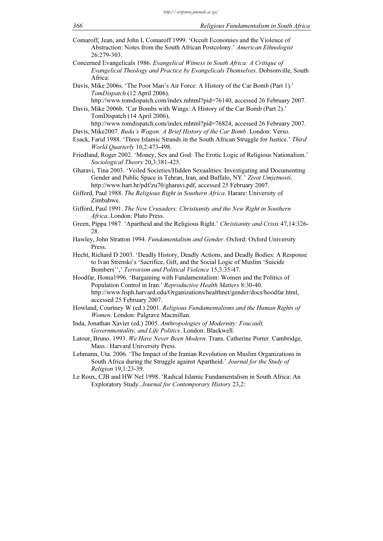- Concerned Evangelicals 1986. Evangelical Witness in South Africa: A Critique of Evangelical Theology and Practice by Evangelicals Themselves. Dobsonville, South Africa:
- Davis, Mike 2006s. 'The Poor Man's Air Force: A History of the Car Bomb (Part 1).' TomDispatch (12 April 2006).
- http://www.tomdispatch.com/index.mhtml?pid=76140, accessed 26 February 2007. Davis, Mike 2006b. 'Car Bombs with Wings: A History of the Car Bomb (Part 2).' TomDispatch (14 April 2006),
- http://www.tomdispatch.com/index.mhtml?pid=76824, accessed 26 February 2007. Davis, Mike2007. Buda's Wagon: A Brief History of the Car Bomb. London: Verso.
- Esack, Farid 1988. 'Three Islamic Strands in the South African Struggle for Justice.' Third World Quarterly 10,2:473-498.
- Friedland, Roger 2002. 'Money, Sex and God: The Erotic Logic of Religious Nationalism.' Sociological Theory 20,3:381-425.
- Gharavi, Tina 2003. 'Veiled Societies/Hidden Sexualities: Investigating and Documenting Gender and Public Space in Tehran, Iran, and Buffalo, NY.' Zivot Umjetnosti. http://www.hart.hr/pdf/zu70/gharavi.pdf, accessed 25 February 2007.
- Gifford, Paul 1988. The Religious Right in Southern Africa. Harare: University of Zimbabwe.
- Gifford, Paul 1991. The New Crusaders: Christianity and the New Right in Southern Africa. London: Pluto Press.
- Green, Pippa 1987. 'Apartheid and the Religious Right.' Christianity and Crisis 47,14:326- 28.
- Hawley, John Stratton 1994. Fundamentalism and Gender. Oxford: Oxford University Press.
- Hecht, Richard D 2003. 'Deadly History, Deadly Actions, and Deadly Bodies: A Response to Ivan Strenski's 'Sacrifice, Gift, and the Social Logic of Muslim 'Suicide Bombers'',' Terrorism and Political Violence 15,3:35-47.
- Hoodfar, Homa1996. 'Bargaining with Fundamentalism: Women and the Politics of Population Control in Iran.' Reproductive Health Matters 8:30-40. http://www.hsph.harvard.edu/Organizations/healthnet/gender/docs/hoodfar.html, accessed 25 February 2007.
- Howland, Courtney W (ed.) 2001. Religious Fundamentalisms and the Human Rights of Women. London: Palgrave Macmillan.
- Inda, Jonathan Xavier (ed.) 2005. Anthropologies of Modernity: Foucault, Governmentality, and Life Politics. London: Blackwell.
- Latour, Bruno. 1993. We Have Never Been Modern. Trans. Catherine Porter. Cambridge, Mass.: Harvard University Press.
- Lehmann, Uta. 2006. 'The Impact of the Iranian Revolution on Muslim Organizations in South Africa during the Struggle against Apartheid.' Journal for the Study of Religion 19,1:23-39.
- Le Roux, CJB and HW Nel 1998. 'Radical Islamic Fundamentalism in South Africa: An Exploratory Study. Journal for Contemporary History 23,2: